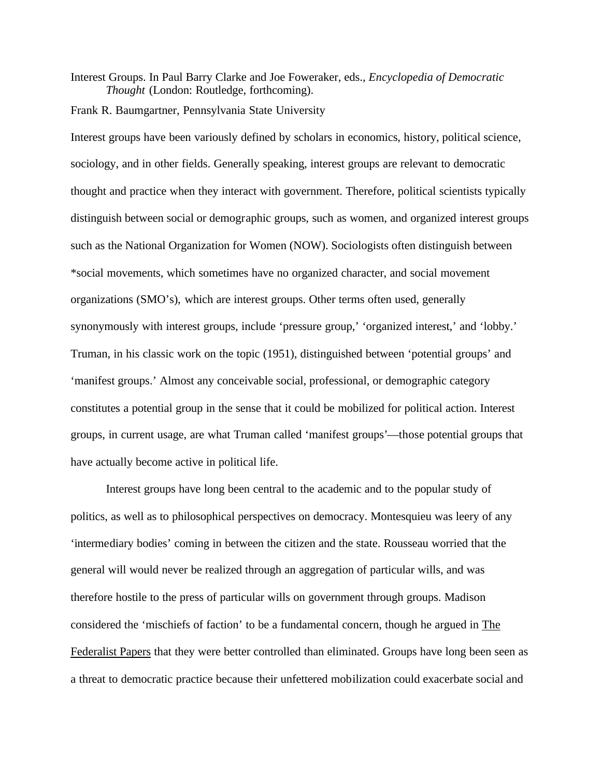Interest Groups. In Paul Barry Clarke and Joe Foweraker, eds., *Encyclopedia of Democratic Thought* (London: Routledge, forthcoming).

Frank R. Baumgartner, Pennsylvania State University

Interest groups have been variously defined by scholars in economics, history, political science, sociology, and in other fields. Generally speaking, interest groups are relevant to democratic thought and practice when they interact with government. Therefore, political scientists typically distinguish between social or demographic groups, such as women, and organized interest groups such as the National Organization for Women (NOW). Sociologists often distinguish between \*social movements, which sometimes have no organized character, and social movement organizations (SMO's), which are interest groups. Other terms often used, generally synonymously with interest groups, include 'pressure group,' 'organized interest,' and 'lobby.' Truman, in his classic work on the topic (1951), distinguished between 'potential groups' and 'manifest groups.' Almost any conceivable social, professional, or demographic category constitutes a potential group in the sense that it could be mobilized for political action. Interest groups, in current usage, are what Truman called 'manifest groups'—those potential groups that have actually become active in political life.

Interest groups have long been central to the academic and to the popular study of politics, as well as to philosophical perspectives on democracy. Montesquieu was leery of any 'intermediary bodies' coming in between the citizen and the state. Rousseau worried that the general will would never be realized through an aggregation of particular wills, and was therefore hostile to the press of particular wills on government through groups. Madison considered the 'mischiefs of faction' to be a fundamental concern, though he argued in The Federalist Papers that they were better controlled than eliminated. Groups have long been seen as a threat to democratic practice because their unfettered mobilization could exacerbate social and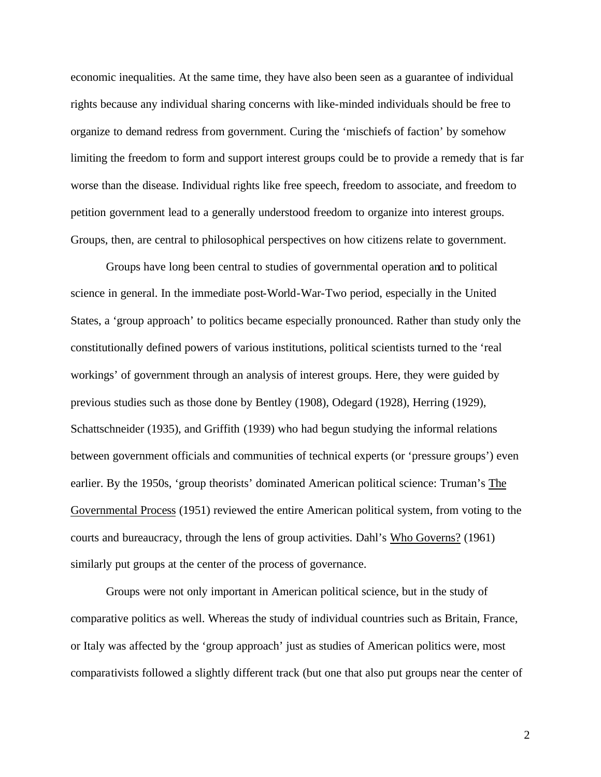economic inequalities. At the same time, they have also been seen as a guarantee of individual rights because any individual sharing concerns with like-minded individuals should be free to organize to demand redress from government. Curing the 'mischiefs of faction' by somehow limiting the freedom to form and support interest groups could be to provide a remedy that is far worse than the disease. Individual rights like free speech, freedom to associate, and freedom to petition government lead to a generally understood freedom to organize into interest groups. Groups, then, are central to philosophical perspectives on how citizens relate to government.

Groups have long been central to studies of governmental operation and to political science in general. In the immediate post-World-War-Two period, especially in the United States, a 'group approach' to politics became especially pronounced. Rather than study only the constitutionally defined powers of various institutions, political scientists turned to the 'real workings' of government through an analysis of interest groups. Here, they were guided by previous studies such as those done by Bentley (1908), Odegard (1928), Herring (1929), Schattschneider (1935), and Griffith (1939) who had begun studying the informal relations between government officials and communities of technical experts (or 'pressure groups') even earlier. By the 1950s, 'group theorists' dominated American political science: Truman's The Governmental Process (1951) reviewed the entire American political system, from voting to the courts and bureaucracy, through the lens of group activities. Dahl's Who Governs? (1961) similarly put groups at the center of the process of governance.

Groups were not only important in American political science, but in the study of comparative politics as well. Whereas the study of individual countries such as Britain, France, or Italy was affected by the 'group approach' just as studies of American politics were, most comparativists followed a slightly different track (but one that also put groups near the center of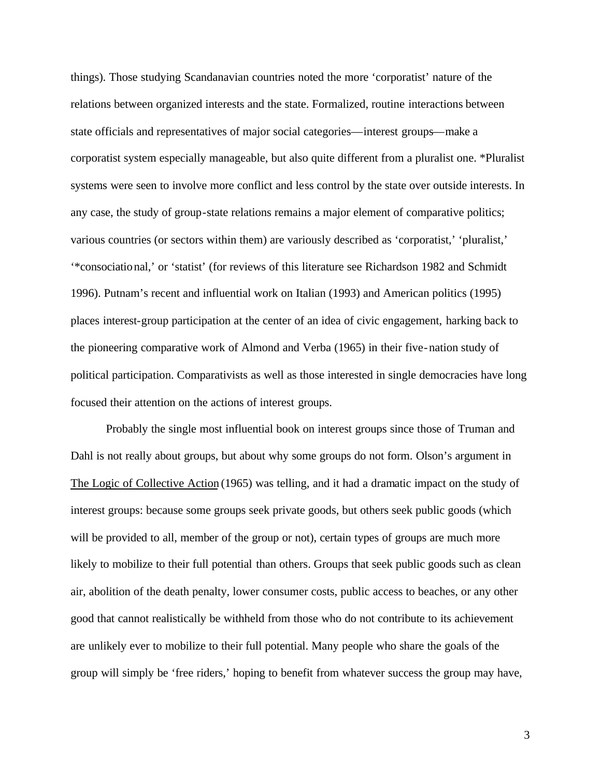things). Those studying Scandanavian countries noted the more 'corporatist' nature of the relations between organized interests and the state. Formalized, routine interactions between state officials and representatives of major social categories—interest groups—make a corporatist system especially manageable, but also quite different from a pluralist one. \*Pluralist systems were seen to involve more conflict and less control by the state over outside interests. In any case, the study of group-state relations remains a major element of comparative politics; various countries (or sectors within them) are variously described as 'corporatist,' 'pluralist,' '\*consociational,' or 'statist' (for reviews of this literature see Richardson 1982 and Schmidt 1996). Putnam's recent and influential work on Italian (1993) and American politics (1995) places interest-group participation at the center of an idea of civic engagement, harking back to the pioneering comparative work of Almond and Verba (1965) in their five-nation study of political participation. Comparativists as well as those interested in single democracies have long focused their attention on the actions of interest groups.

Probably the single most influential book on interest groups since those of Truman and Dahl is not really about groups, but about why some groups do not form. Olson's argument in The Logic of Collective Action (1965) was telling, and it had a dramatic impact on the study of interest groups: because some groups seek private goods, but others seek public goods (which will be provided to all, member of the group or not), certain types of groups are much more likely to mobilize to their full potential than others. Groups that seek public goods such as clean air, abolition of the death penalty, lower consumer costs, public access to beaches, or any other good that cannot realistically be withheld from those who do not contribute to its achievement are unlikely ever to mobilize to their full potential. Many people who share the goals of the group will simply be 'free riders,' hoping to benefit from whatever success the group may have,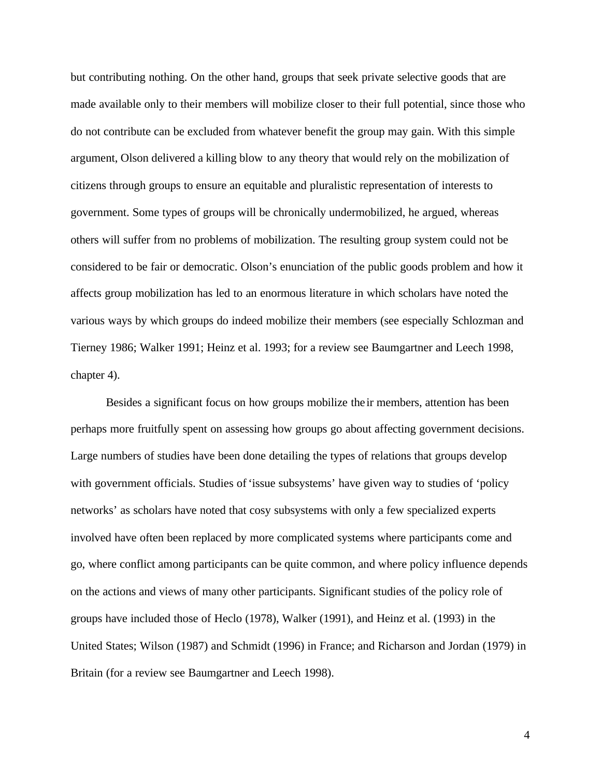but contributing nothing. On the other hand, groups that seek private selective goods that are made available only to their members will mobilize closer to their full potential, since those who do not contribute can be excluded from whatever benefit the group may gain. With this simple argument, Olson delivered a killing blow to any theory that would rely on the mobilization of citizens through groups to ensure an equitable and pluralistic representation of interests to government. Some types of groups will be chronically undermobilized, he argued, whereas others will suffer from no problems of mobilization. The resulting group system could not be considered to be fair or democratic. Olson's enunciation of the public goods problem and how it affects group mobilization has led to an enormous literature in which scholars have noted the various ways by which groups do indeed mobilize their members (see especially Schlozman and Tierney 1986; Walker 1991; Heinz et al. 1993; for a review see Baumgartner and Leech 1998, chapter 4).

Besides a significant focus on how groups mobilize the ir members, attention has been perhaps more fruitfully spent on assessing how groups go about affecting government decisions. Large numbers of studies have been done detailing the types of relations that groups develop with government officials. Studies of 'issue subsystems' have given way to studies of 'policy networks' as scholars have noted that cosy subsystems with only a few specialized experts involved have often been replaced by more complicated systems where participants come and go, where conflict among participants can be quite common, and where policy influence depends on the actions and views of many other participants. Significant studies of the policy role of groups have included those of Heclo (1978), Walker (1991), and Heinz et al. (1993) in the United States; Wilson (1987) and Schmidt (1996) in France; and Richarson and Jordan (1979) in Britain (for a review see Baumgartner and Leech 1998).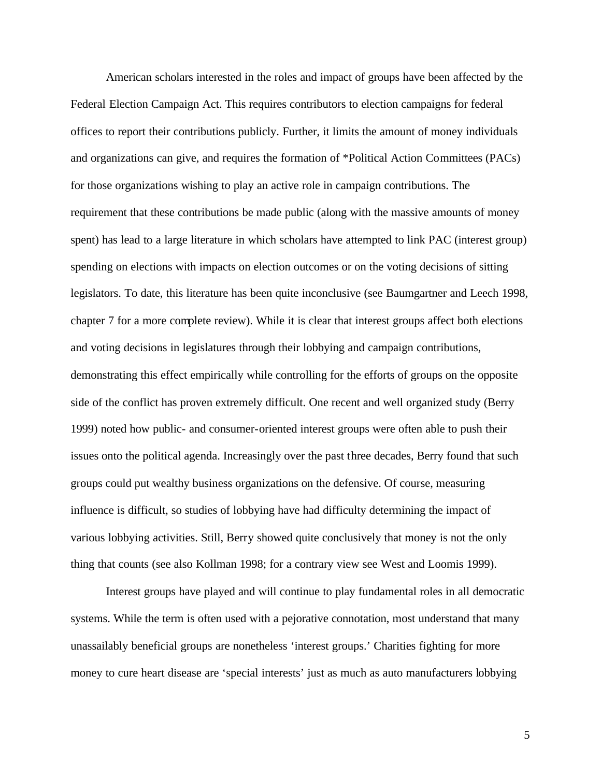American scholars interested in the roles and impact of groups have been affected by the Federal Election Campaign Act. This requires contributors to election campaigns for federal offices to report their contributions publicly. Further, it limits the amount of money individuals and organizations can give, and requires the formation of \*Political Action Committees (PACs) for those organizations wishing to play an active role in campaign contributions. The requirement that these contributions be made public (along with the massive amounts of money spent) has lead to a large literature in which scholars have attempted to link PAC (interest group) spending on elections with impacts on election outcomes or on the voting decisions of sitting legislators. To date, this literature has been quite inconclusive (see Baumgartner and Leech 1998, chapter 7 for a more complete review). While it is clear that interest groups affect both elections and voting decisions in legislatures through their lobbying and campaign contributions, demonstrating this effect empirically while controlling for the efforts of groups on the opposite side of the conflict has proven extremely difficult. One recent and well organized study (Berry 1999) noted how public- and consumer-oriented interest groups were often able to push their issues onto the political agenda. Increasingly over the past three decades, Berry found that such groups could put wealthy business organizations on the defensive. Of course, measuring influence is difficult, so studies of lobbying have had difficulty determining the impact of various lobbying activities. Still, Berry showed quite conclusively that money is not the only thing that counts (see also Kollman 1998; for a contrary view see West and Loomis 1999).

Interest groups have played and will continue to play fundamental roles in all democratic systems. While the term is often used with a pejorative connotation, most understand that many unassailably beneficial groups are nonetheless 'interest groups.' Charities fighting for more money to cure heart disease are 'special interests' just as much as auto manufacturers lobbying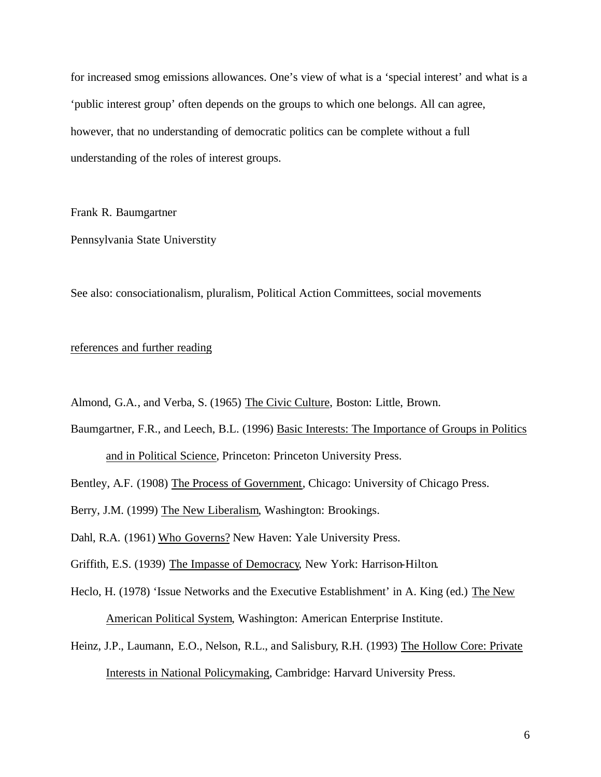for increased smog emissions allowances. One's view of what is a 'special interest' and what is a 'public interest group' often depends on the groups to which one belongs. All can agree, however, that no understanding of democratic politics can be complete without a full understanding of the roles of interest groups.

Frank R. Baumgartner

Pennsylvania State Universtity

See also: consociationalism, pluralism, Political Action Committees, social movements

## references and further reading

Almond, G.A., and Verba, S. (1965) The Civic Culture, Boston: Little, Brown.

Baumgartner, F.R., and Leech, B.L. (1996) Basic Interests: The Importance of Groups in Politics and in Political Science, Princeton: Princeton University Press.

Bentley, A.F. (1908) The Process of Government, Chicago: University of Chicago Press.

Berry, J.M. (1999) The New Liberalism, Washington: Brookings.

Dahl, R.A. (1961) Who Governs? New Haven: Yale University Press.

Griffith, E.S. (1939) The Impasse of Democracy, New York: Harrison-Hilton.

- Heclo, H. (1978) 'Issue Networks and the Executive Establishment' in A. King (ed.) The New American Political System, Washington: American Enterprise Institute.
- Heinz, J.P., Laumann, E.O., Nelson, R.L., and Salisbury, R.H. (1993) The Hollow Core: Private Interests in National Policymaking, Cambridge: Harvard University Press.